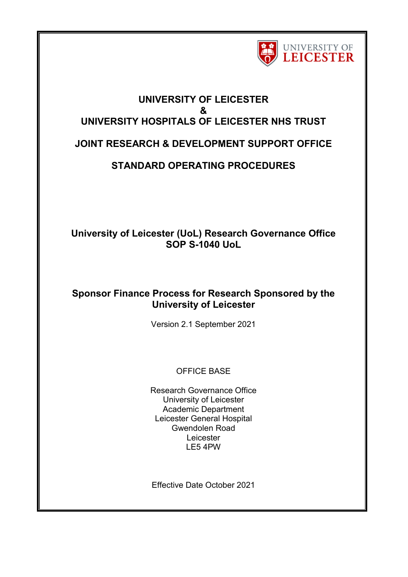

# **UNIVERSITY OF LEICESTER & UNIVERSITY HOSPITALS OF LEICESTER NHS TRUST JOINT RESEARCH & DEVELOPMENT SUPPORT OFFICE**

# **STANDARD OPERATING PROCEDURES**

## **University of Leicester (UoL) Research Governance Office SOP S-1040 UoL**

## **Sponsor Finance Process for Research Sponsored by the University of Leicester**

Version 2.1 September 2021

## OFFICE BASE

Research Governance Office University of Leicester Academic Department Leicester General Hospital Gwendolen Road Leicester LE5 4PW

Effective Date October 2021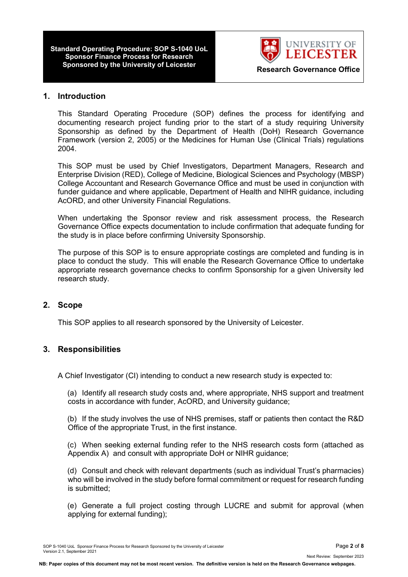**Standard Operating Procedure: SOP S-1040 UoL Sponsor Finance Process for Research**



### **1. Introduction**

This Standard Operating Procedure (SOP) defines the process for identifying and documenting research project funding prior to the start of a study requiring University Sponsorship as defined by the Department of Health (DoH) Research Governance Framework (version 2, 2005) or the Medicines for Human Use (Clinical Trials) regulations 2004.

This SOP must be used by Chief Investigators, Department Managers, Research and Enterprise Division (RED), College of Medicine, Biological Sciences and Psychology (MBSP) College Accountant and Research Governance Office and must be used in conjunction with funder guidance and where applicable, Department of Health and NIHR guidance, including AcORD, and other University Financial Regulations.

When undertaking the Sponsor review and risk assessment process, the Research Governance Office expects documentation to include confirmation that adequate funding for the study is in place before confirming University Sponsorship.

The purpose of this SOP is to ensure appropriate costings are completed and funding is in place to conduct the study. This will enable the Research Governance Office to undertake appropriate research governance checks to confirm Sponsorship for a given University led research study.

## **2. Scope**

This SOP applies to all research sponsored by the University of Leicester.

## **3. Responsibilities**

A Chief Investigator (CI) intending to conduct a new research study is expected to:

(a) Identify all research study costs and, where appropriate, NHS support and treatment costs in accordance with funder, AcORD, and University guidance;

(b) If the study involves the use of NHS premises, staff or patients then contact the R&D Office of the appropriate Trust, in the first instance.

(c) When seeking external funding refer to the NHS research costs form (attached as Appendix A) and consult with appropriate DoH or NIHR guidance;

(d) Consult and check with relevant departments (such as individual Trust's pharmacies) who will be involved in the study before formal commitment or request for research funding is submitted;

(e) Generate a full project costing through LUCRE and submit for approval (when applying for external funding);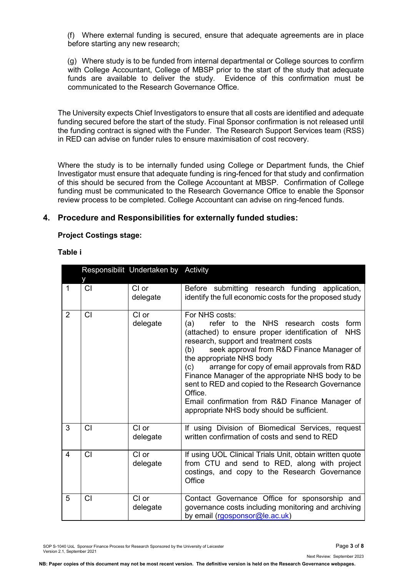(f) Where external funding is secured, ensure that adequate agreements are in place before starting any new research;

(g) Where study is to be funded from internal departmental or College sources to confirm with College Accountant, College of MBSP prior to the start of the study that adequate funds are available to deliver the study. Evidence of this confirmation must be communicated to the Research Governance Office.

The University expects Chief Investigators to ensure that all costs are identified and adequate funding secured before the start of the study. Final Sponsor confirmation is not released until the funding contract is signed with the Funder. The Research Support Services team (RSS) in RED can advise on funder rules to ensure maximisation of cost recovery.

Where the study is to be internally funded using College or Department funds, the Chief Investigator must ensure that adequate funding is ring-fenced for that study and confirmation of this should be secured from the College Accountant at MBSP. Confirmation of College funding must be communicated to the Research Governance Office to enable the Sponsor review process to be completed. College Accountant can advise on ring-fenced funds.

### **4. Procedure and Responsibilities for externally funded studies:**

#### **Project Costings stage:**

#### **Table i**

|                | v  | Responsibilit Undertaken by Activity |                                                                                                                                                                                                                                                                                                                                                                                                                                                                                                                                   |  |
|----------------|----|--------------------------------------|-----------------------------------------------------------------------------------------------------------------------------------------------------------------------------------------------------------------------------------------------------------------------------------------------------------------------------------------------------------------------------------------------------------------------------------------------------------------------------------------------------------------------------------|--|
| $\mathbf{1}$   | CI | CI or<br>delegate                    | Before submitting research funding application,<br>identify the full economic costs for the proposed study                                                                                                                                                                                                                                                                                                                                                                                                                        |  |
| $\overline{2}$ | СI | CI or<br>delegate                    | For NHS costs:<br>refer to the NHS research costs form<br>(a)<br>(attached) to ensure proper identification of<br><b>NHS</b><br>research, support and treatment costs<br>seek approval from R&D Finance Manager of<br>(b)<br>the appropriate NHS body<br>arrange for copy of email approvals from R&D<br>(c)<br>Finance Manager of the appropriate NHS body to be<br>sent to RED and copied to the Research Governance<br>Office.<br>Email confirmation from R&D Finance Manager of<br>appropriate NHS body should be sufficient. |  |
| 3              | СI | CI or<br>delegate                    | If using Division of Biomedical Services, request<br>written confirmation of costs and send to RED                                                                                                                                                                                                                                                                                                                                                                                                                                |  |
| $\overline{4}$ | CI | CI or<br>delegate                    | If using UOL Clinical Trials Unit, obtain written quote<br>from CTU and send to RED, along with project<br>costings, and copy to the Research Governance<br>Office                                                                                                                                                                                                                                                                                                                                                                |  |
| 5              | CI | CI or<br>delegate                    | Contact Governance Office for sponsorship and<br>governance costs including monitoring and archiving<br>by email (rgosponsor@le.ac.uk)                                                                                                                                                                                                                                                                                                                                                                                            |  |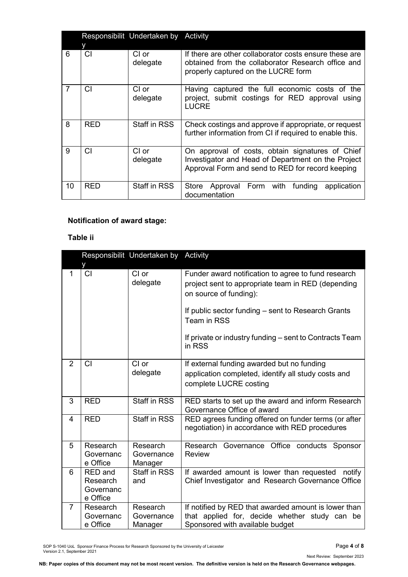|    | Responsibilit Undertaken by Activity |                     |                                                                                                                                                            |  |
|----|--------------------------------------|---------------------|------------------------------------------------------------------------------------------------------------------------------------------------------------|--|
| 6  | у<br><b>CI</b>                       | CI or<br>delegate   | If there are other collaborator costs ensure these are<br>obtained from the collaborator Research office and<br>properly captured on the LUCRE form        |  |
| 7  | СI                                   | CI or<br>delegate   | Having captured the full economic costs of the<br>project, submit costings for RED approval using<br><b>LUCRE</b>                                          |  |
| 8  | <b>RED</b>                           | Staff in RSS        | Check costings and approve if appropriate, or request<br>further information from CI if required to enable this.                                           |  |
| 9  | СI                                   | CI or<br>delegate   | On approval of costs, obtain signatures of Chief<br>Investigator and Head of Department on the Project<br>Approval Form and send to RED for record keeping |  |
| 10 | RED                                  | <b>Staff in RSS</b> | Store Approval Form with funding<br>application<br>documentation                                                                                           |  |

## **Notification of award stage:**

## **Table ii**

| Responsibilit Undertaken by Activity |                                                     |                                   |                                                                                                                                                                                                                                                                               |  |
|--------------------------------------|-----------------------------------------------------|-----------------------------------|-------------------------------------------------------------------------------------------------------------------------------------------------------------------------------------------------------------------------------------------------------------------------------|--|
| 1                                    | CI                                                  | CI or<br>delegate                 | Funder award notification to agree to fund research<br>project sent to appropriate team in RED (depending<br>on source of funding):<br>If public sector funding – sent to Research Grants<br>Team in RSS<br>If private or industry funding – sent to Contracts Team<br>in RSS |  |
| 2                                    | CI                                                  | CI or<br>delegate                 | If external funding awarded but no funding<br>application completed, identify all study costs and<br>complete LUCRE costing                                                                                                                                                   |  |
| 3                                    | <b>RED</b>                                          | <b>Staff in RSS</b>               | RED starts to set up the award and inform Research<br>Governance Office of award                                                                                                                                                                                              |  |
| $\overline{4}$                       | <b>RED</b>                                          | <b>Staff in RSS</b>               | RED agrees funding offered on funder terms (or after<br>negotiation) in accordance with RED procedures                                                                                                                                                                        |  |
| 5                                    | Research<br>Governanc<br>e Office                   | Research<br>Governance<br>Manager | Research<br>Governance Office conducts Sponsor<br><b>Review</b>                                                                                                                                                                                                               |  |
| 6                                    | <b>RED</b> and<br>Research<br>Governanc<br>e Office | <b>Staff in RSS</b><br>and        | If awarded amount is lower than requested<br>notify<br>Chief Investigator and Research Governance Office                                                                                                                                                                      |  |
| $\overline{7}$                       | Research<br>Governanc<br>e Office                   | Research<br>Governance<br>Manager | If notified by RED that awarded amount is lower than<br>that applied for, decide whether study can be<br>Sponsored with available budget                                                                                                                                      |  |

SOP S-1040 UoL Sponsor Finance Process for Research Sponsored by the University of Leicester Page **4** of **8** Version 2.1, September 2021

Next Review: September 2023

**NB: Paper copies of this document may not be most recent version. The definitive version is held on the Research Governance webpages.**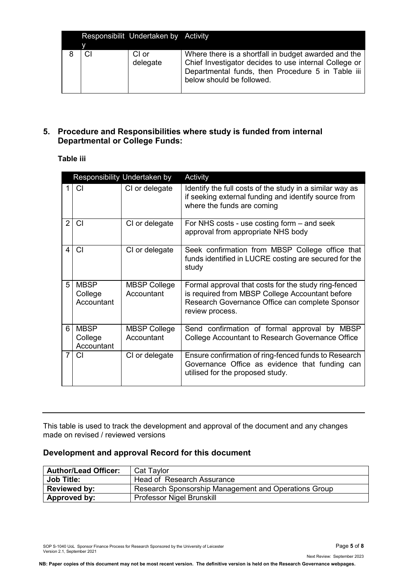|   | Responsibilit Undertaken by Activity |                                                                                                                                                                                                 |
|---|--------------------------------------|-------------------------------------------------------------------------------------------------------------------------------------------------------------------------------------------------|
| ٧ |                                      |                                                                                                                                                                                                 |
|   | CI or<br>delegate                    | Where there is a shortfall in budget awarded and the<br>Chief Investigator decides to use internal College or<br>Departmental funds, then Procedure 5 in Table iii<br>below should be followed. |

## **5. Procedure and Responsibilities where study is funded from internal Departmental or College Funds:**

## **Table iii**

| Responsibility Undertaken by |                                      |                                   | Activity                                                                                                                                                                      |
|------------------------------|--------------------------------------|-----------------------------------|-------------------------------------------------------------------------------------------------------------------------------------------------------------------------------|
| 1                            | CI.                                  | CI or delegate                    | Identify the full costs of the study in a similar way as<br>if seeking external funding and identify source from<br>where the funds are coming                                |
| $\overline{2}$               | СI                                   | CI or delegate                    | For NHS costs - use costing form – and seek<br>approval from appropriate NHS body                                                                                             |
|                              | СI                                   | CI or delegate                    | Seek confirmation from MBSP College office that<br>funds identified in LUCRE costing are secured for the<br>study                                                             |
| 5                            | <b>MBSP</b><br>College<br>Accountant | <b>MBSP College</b><br>Accountant | Formal approval that costs for the study ring-fenced<br>is required from MBSP College Accountant before<br>Research Governance Office can complete Sponsor<br>review process. |
| 6                            | <b>MBSP</b><br>College<br>Accountant | <b>MBSP College</b><br>Accountant | Send confirmation of formal approval by MBSP<br>College Accountant to Research Governance Office                                                                              |
| 7                            | СI                                   | CI or delegate                    | Ensure confirmation of ring-fenced funds to Research<br>Governance Office as evidence that funding can<br>utilised for the proposed study.                                    |

This table is used to track the development and approval of the document and any changes made on revised / reviewed versions

## **Development and approval Record for this document**

| <b>Author/Lead Officer:</b> | Cat Taylor                                           |
|-----------------------------|------------------------------------------------------|
| <b>Job Title:</b>           | Head of Research Assurance                           |
| <b>Reviewed by:</b>         | Research Sponsorship Management and Operations Group |
| Approved by:                | <b>Professor Nigel Brunskill</b>                     |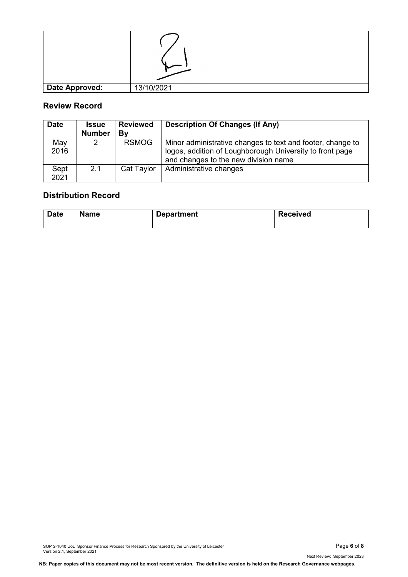| <b>Date Approved:</b> | 13/10/2021 |
|-----------------------|------------|

## **Review Record**

| <b>Date</b>  | <b>Issue</b><br><b>Number</b> | <b>Reviewed</b><br>Bν | <b>Description Of Changes (If Any)</b>                                                                                                                         |
|--------------|-------------------------------|-----------------------|----------------------------------------------------------------------------------------------------------------------------------------------------------------|
| May<br>2016  | 2                             | <b>RSMOG</b>          | Minor administrative changes to text and footer, change to<br>logos, addition of Loughborough University to front page<br>and changes to the new division name |
| Sept<br>2021 | 2.1                           | Cat Taylor            | Administrative changes                                                                                                                                         |

## **Distribution Record**

| <b>Date</b> | Name | Department |  |
|-------------|------|------------|--|
|             |      |            |  |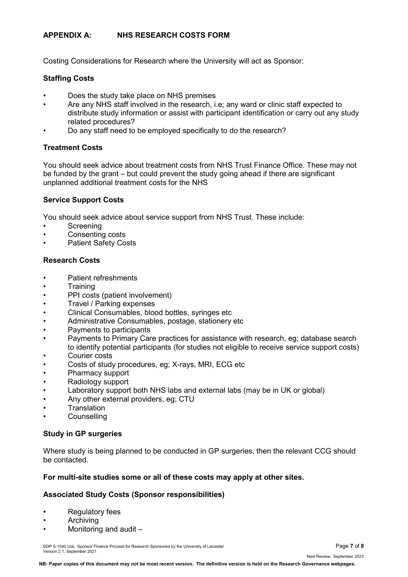## **APPENDIX A: NHS RESEARCH COSTS FORM**

Costing Considerations for Research where the University will act as Sponsor:

## **Staffing Costs**

- Does the study take place on NHS premises
- Are any NHS staff involved in the research, i.e; any ward or clinic staff expected to distribute study information or assist with participant identification or carry out any study related procedures?
- Do any staff need to be employed specifically to do the research?

### **Treatment Costs**

You should seek advice about treatment costs from NHS Trust Finance Office. These may not be funded by the grant – but could prevent the study going ahead if there are significant unplanned additional treatment costs for the NHS

## **Service Support Costs**

You should seek advice about service support from NHS Trust. These include:

- **Screening**
- Consenting costs
- Patient Safety Costs

### **Research Costs**

- Patient refreshments
- Training
- PPI costs (patient involvement)
- Travel / Parking expenses
- Clinical Consumables, blood bottles, syringes etc
- Administrative Consumables, postage, stationery etc
- Payments to participants
- Payments to Primary Care practices for assistance with research, eg; database search to identify potential participants (for studies not eligible to receive service support costs)
- Courier costs
- Costs of study procedures, eg; X-rays, MRI, ECG etc
- Pharmacy support
- Radiology support
- Laboratory support both NHS labs and external labs (may be in UK or global)
- Any other external providers, eg; CTU
- **Translation**
- **Counselling**

#### **Study in GP surgeries**

Where study is being planned to be conducted in GP surgeries, then the relevant CCG should be contacted.

## **For multi-site studies some or all of these costs may apply at other sites.**

## **Associated Study Costs (Sponsor responsibilities)**

- **Regulatory fees**
- **Archiving**
- Monitoring and audit –

SOP S-1040 UoL Sponsor Finance Process for Research Sponsored by the University of Leicester **Page 1** of 8 Version 2.1, September 2021